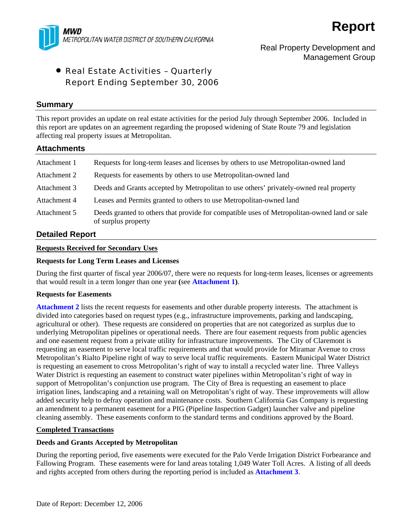

# Real Property Development and Management Group

# • Real Estate Activities – Quarterly Report Ending September 30, 2006

### **Summary**

This report provides an update on real estate activities for the period July through September 2006. Included in this report are updates on an agreement regarding the proposed widening of State Route 79 and legislation affecting real property issues at Metropolitan.

### **Attachments**

| Attachment 1 | Requests for long-term leases and licenses by others to use Metropolitan-owned land                                |
|--------------|--------------------------------------------------------------------------------------------------------------------|
| Attachment 2 | Requests for easements by others to use Metropolitan-owned land                                                    |
| Attachment 3 | Deeds and Grants accepted by Metropolitan to use others' privately-owned real property                             |
| Attachment 4 | Leases and Permits granted to others to use Metropolitan-owned land                                                |
| Attachment 5 | Deeds granted to others that provide for compatible uses of Metropolitan-owned land or sale<br>of surplus property |

## **Detailed Report**

#### **Requests Received for Secondary Uses**

### **Requests for Long Term Leases and Licenses**

During the first quarter of fiscal year 2006/07, there were no requests for long-term leases, licenses or agreements that would result in a term longer than one year **(**see **Attachment 1)**.

#### **Requests for Easements**

**Attachment 2** lists the recent requests for easements and other durable property interests. The attachment is divided into categories based on request types (e.g., infrastructure improvements, parking and landscaping, agricultural or other). These requests are considered on properties that are not categorized as surplus due to underlying Metropolitan pipelines or operational needs. There are four easement requests from public agencies and one easement request from a private utility for infrastructure improvements. The City of Claremont is requesting an easement to serve local traffic requirements and that would provide for Miramar Avenue to cross Metropolitan's Rialto Pipeline right of way to serve local traffic requirements. Eastern Municipal Water District is requesting an easement to cross Metropolitan's right of way to install a recycled water line. Three Valleys Water District is requesting an easement to construct water pipelines within Metropolitan's right of way in support of Metropolitan's conjunction use program. The City of Brea is requesting an easement to place irrigation lines, landscaping and a retaining wall on Metropolitan's right of way. These improvements will allow added security help to defray operation and maintenance costs. Southern California Gas Company is requesting an amendment to a permanent easement for a PIG (Pipeline Inspection Gadget) launcher valve and pipeline cleaning assembly. These easements conform to the standard terms and conditions approved by the Board.

#### **Completed Transactions**

#### **Deeds and Grants Accepted by Metropolitan**

During the reporting period, five easements were executed for the Palo Verde Irrigation District Forbearance and Fallowing Program. These easements were for land areas totaling 1,049 Water Toll Acres. A listing of all deeds and rights accepted from others during the reporting period is included as **Attachment 3**.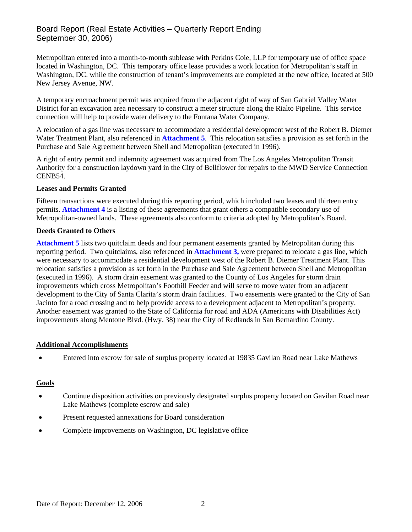# Board Report (Real Estate Activities – Quarterly Report Ending September 30, 2006)

Metropolitan entered into a month-to-month sublease with Perkins Coie, LLP for temporary use of office space located in Washington, DC. This temporary office lease provides a work location for Metropolitan's staff in Washington, DC. while the construction of tenant's improvements are completed at the new office, located at 500 New Jersey Avenue, NW.

A temporary encroachment permit was acquired from the adjacent right of way of San Gabriel Valley Water District for an excavation area necessary to construct a meter structure along the Rialto Pipeline. This service connection will help to provide water delivery to the Fontana Water Company.

A relocation of a gas line was necessary to accommodate a residential development west of the Robert B. Diemer Water Treatment Plant, also referenced in **Attachment 5**. This relocation satisfies a provision as set forth in the Purchase and Sale Agreement between Shell and Metropolitan (executed in 1996).

A right of entry permit and indemnity agreement was acquired from The Los Angeles Metropolitan Transit Authority for a construction laydown yard in the City of Bellflower for repairs to the MWD Service Connection CENB54.

### **Leases and Permits Granted**

Fifteen transactions were executed during this reporting period, which included two leases and thirteen entry permits. **Attachment 4** is a listing of these agreements that grant others a compatible secondary use of Metropolitan-owned lands. These agreements also conform to criteria adopted by Metropolitan's Board.

### **Deeds Granted to Others**

**Attachment 5** lists two quitclaim deeds and four permanent easements granted by Metropolitan during this reporting period. Two quitclaims, also referenced in **Attachment 3,** were prepared to relocate a gas line, which were necessary to accommodate a residential development west of the Robert B. Diemer Treatment Plant. This relocation satisfies a provision as set forth in the Purchase and Sale Agreement between Shell and Metropolitan (executed in 1996). A storm drain easement was granted to the County of Los Angeles for storm drain improvements which cross Metropolitan's Foothill Feeder and will serve to move water from an adjacent development to the City of Santa Clarita's storm drain facilities. Two easements were granted to the City of San Jacinto for a road crossing and to help provide access to a development adjacent to Metropolitan's property. Another easement was granted to the State of California for road and ADA (Americans with Disabilities Act) improvements along Mentone Blvd. (Hwy. 38) near the City of Redlands in San Bernardino County.

#### **Additional Accomplishments**

• Entered into escrow for sale of surplus property located at 19835 Gavilan Road near Lake Mathews

### **Goals**

- Continue disposition activities on previously designated surplus property located on Gavilan Road near Lake Mathews (complete escrow and sale)
- Present requested annexations for Board consideration
- Complete improvements on Washington, DC legislative office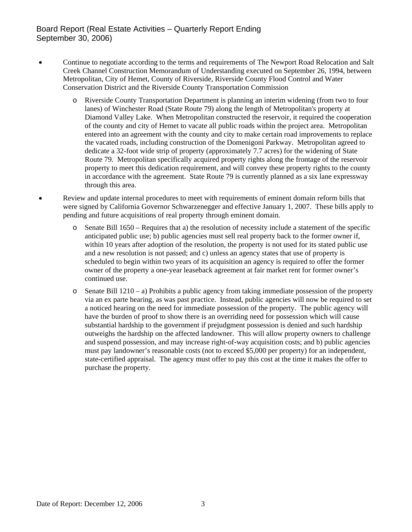# Board Report (Real Estate Activities – Quarterly Report Ending September 30, 2006)

- Continue to negotiate according to the terms and requirements of The Newport Road Relocation and Salt Creek Channel Construction Memorandum of Understanding executed on September 26, 1994, between Metropolitan, City of Hemet, County of Riverside, Riverside County Flood Control and Water Conservation District and the Riverside County Transportation Commission
	- o Riverside County Transportation Department is planning an interim widening (from two to four lanes) of Winchester Road (State Route 79) along the length of Metropolitan's property at Diamond Valley Lake. When Metropolitan constructed the reservoir, it required the cooperation of the county and city of Hemet to vacate all public roads within the project area. Metropolitan entered into an agreement with the county and city to make certain road improvements to replace the vacated roads, including construction of the Domenigoni Parkway. Metropolitan agreed to dedicate a 32-foot wide strip of property (approximately 7.7 acres) for the widening of State Route 79. Metropolitan specifically acquired property rights along the frontage of the reservoir property to meet this dedication requirement, and will convey these property rights to the county in accordance with the agreement. State Route 79 is currently planned as a six lane expressway through this area.
- Review and update internal procedures to meet with requirements of eminent domain reform bills that were signed by California Governor Schwarzenegger and effective January 1, 2007. These bills apply to pending and future acquisitions of real property through eminent domain.
	- o Senate Bill 1650 Requires that a) the resolution of necessity include a statement of the specific anticipated public use; b) public agencies must sell real property back to the former owner if, within 10 years after adoption of the resolution, the property is not used for its stated public use and a new resolution is not passed; and c) unless an agency states that use of property is scheduled to begin within two years of its acquisition an agency is required to offer the former owner of the property a one-year leaseback agreement at fair market rent for former owner's continued use.
	- $\circ$  Senate Bill 1210 a) Prohibits a public agency from taking immediate possession of the property via an ex parte hearing, as was past practice. Instead, public agencies will now be required to set a noticed hearing on the need for immediate possession of the property. The public agency will have the burden of proof to show there is an overriding need for possession which will cause substantial hardship to the government if prejudgment possession is denied and such hardship outweighs the hardship on the affected landowner. This will allow property owners to challenge and suspend possession, and may increase right-of-way acquisition costs; and b) public agencies must pay landowner's reasonable costs (not to exceed \$5,000 per property) for an independent, state-certified appraisal. The agency must offer to pay this cost at the time it makes the offer to purchase the property.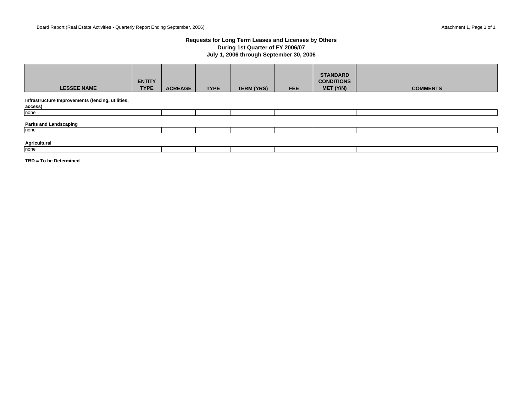#### **Requests for Long Term Leases and Licenses by Others During 1st Quarter of FY 2006/07 July 1, 2006 through September 30, 2006**

| <b>LESSEE NAME</b>                                          | <b>ENTITY</b><br><b>TYPE</b> | <b>ACREAGE</b> | <b>TYPE</b> | <b>TERM (YRS)</b> | <b>FEE</b> | <b>STANDARD</b><br><b>CONDITIONS</b><br>MET (Y/N) | <b>COMMENTS</b> |
|-------------------------------------------------------------|------------------------------|----------------|-------------|-------------------|------------|---------------------------------------------------|-----------------|
| Infrastructure Improvements (fencing, utilities,<br>access) |                              |                |             |                   |            |                                                   |                 |
| none                                                        |                              |                |             |                   |            |                                                   |                 |
| <b>Parks and Landscaping</b><br>none                        |                              |                |             |                   |            |                                                   |                 |
|                                                             |                              |                |             |                   |            |                                                   |                 |
| Agricultural                                                |                              |                |             |                   |            |                                                   |                 |
| none                                                        |                              |                |             |                   |            |                                                   |                 |

**TBD = To be Determined**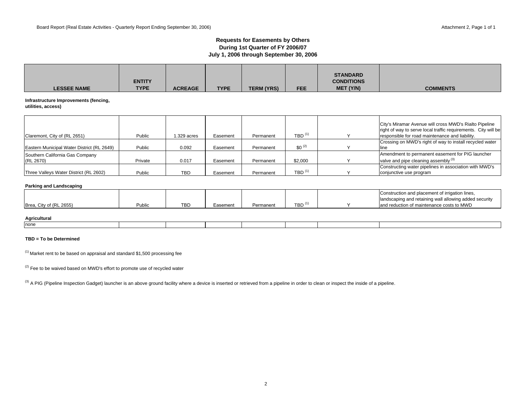#### **Requests for Easements by Others During 1st Quarter of FY 2006/07 July 1, 2006 through September 30, 2006**

| <b>LESSEE NAME</b>                                          | <b>ENTITY</b><br><b>TYPE</b> | <b>ACREAGE</b> | <b>TYPE</b> | <b>TERM (YRS)</b> | <b>FEE</b>           | <b>STANDARD</b><br><b>CONDITIONS</b><br>MET (Y/N) | <b>COMMENTS</b>                                                                                                                                                             |
|-------------------------------------------------------------|------------------------------|----------------|-------------|-------------------|----------------------|---------------------------------------------------|-----------------------------------------------------------------------------------------------------------------------------------------------------------------------------|
| Infrastructure Improvements (fencing,<br>utilities, access) |                              |                |             |                   |                      |                                                   |                                                                                                                                                                             |
| Claremont, City of (RL 2651)                                | Public                       | 1.329 acres    | Easement    | Permanent         | $TBD$ <sup>(1)</sup> |                                                   | City's Miramar Avenue will cross MWD's Rialto Pipeline<br>right of way to serve local traffic requirements. City will be<br>responsible for road maintenance and liability. |
| Eastern Municipal Water District (RL 2649)                  | Public                       | 0.092          | Easement    | Permanent         | $$0^{(2)}$$          |                                                   | Crossing on MWD's right of way to install recycled water<br>lline                                                                                                           |
| Southern California Gas Company<br>(RL 2670)                | Private                      | 0.017          | Easement    | Permanent         | \$2,000              |                                                   | Amendment to permanent easement for PIG launcher<br>valve and pipe cleaning assembly <sup>(3)</sup>                                                                         |
| Three Valleys Water District (RL 2602)                      | Public                       | <b>TBD</b>     | Easement    | Permanent         | TBD $(1)$            |                                                   | Constructing water pipelines in association with MWD's<br>conjunctive use program                                                                                           |
| <b>Parking and Landscaping</b>                              |                              |                |             |                   |                      |                                                   |                                                                                                                                                                             |
| Brea, City of (RL 2655)                                     | Public                       | <b>TBD</b>     | Easement    | Permanent         | $TBD$ <sup>(1)</sup> |                                                   | Construction and placement of irrigation lines,<br>landscaping and retaining wall allowing added security<br>and reduction of maintenance costs to MWD                      |

| Agricultural |  |  |  |  |
|--------------|--|--|--|--|
| none         |  |  |  |  |

#### **TBD = To be Determined**

 $(1)$  Market rent to be based on appraisal and standard \$1,500 processing fee

 $(2)$  Fee to be waived based on MWD's effort to promote use of recycled water

(3) A PIG (Pipeline Inspection Gadget) launcher is an above ground facility where a device is inserted or retrieved from a pipeline in order to clean or inspect the inside of a pipeline.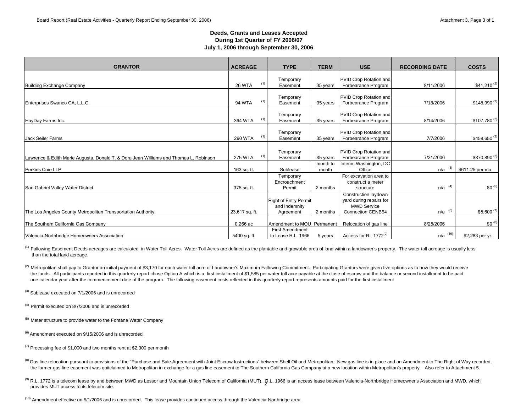#### **Deeds, Grants and Leases Accepted During 1st Quarter of FY 2006/07 July 1, 2006 through September 30, 2006**

| <b>GRANTOR</b>                                                                        | <b>ACREAGE</b> | <b>TYPE</b>                                                | <b>TERM</b>       | <b>USE</b>                                                                                        | <b>RECORDING DATE</b> | <b>COSTS</b>             |
|---------------------------------------------------------------------------------------|----------------|------------------------------------------------------------|-------------------|---------------------------------------------------------------------------------------------------|-----------------------|--------------------------|
| <b>Building Exchange Company</b>                                                      | <b>26 WTA</b>  | Temporary<br>(1)<br>Easement                               | 35 years          | PVID Crop Rotation and<br>Forbearance Program                                                     | 8/11/2006             | $$41,210^{(2)}$          |
| Enterprises Swanco CA, L.L.C.                                                         | <b>94 WTA</b>  | Temporary<br>(1)<br>Easement                               | 35 years          | PVID Crop Rotation and<br>Forbearance Program                                                     | 7/18/2006             | $$148,990^{(2)}$         |
| HayDay Farms Inc.                                                                     | 364 WTA        | Temporary<br>(1)<br>Easement                               | 35 years          | PVID Crop Rotation and<br>Forbearance Program                                                     | 8/14/2006             | $$107,780^{(2)}$         |
| Jack Seiler Farms                                                                     | <b>290 WTA</b> | Temporary<br>(1)<br>Easement                               | 35 years          | PVID Crop Rotation and<br>Forbearance Program                                                     | 7/7/2006              | $$459,650^{(2)}$         |
| Lawrence & Edith Marie Augusta, Donald T. & Dora Jean Williams and Thomas L. Robinson | <b>275 WTA</b> | Temporary<br>(1)<br>Easement                               | 35 years          | PVID Crop Rotation and<br>Forbearance Program                                                     | 7/21/2006             | \$370,890 <sup>(2)</sup> |
| Perkins Coie LLP                                                                      | 163 sq. ft.    | Sublease                                                   | month to<br>month | Interim Washington, DC<br>Office                                                                  | n/a                   | \$611.25 per mo.         |
| San Gabriel Valley Water District                                                     | 375 sq. ft.    | Temporary<br>Encroachment<br>Permit                        | 2 months          | For excavation area to<br>construct a meter<br>structure                                          | (4)<br>n/a            | $$0^{(5)}$               |
| The Los Angeles County Metropolitan Transportation Authority                          | 23,617 sq. ft. | <b>Right of Entry Permit</b><br>and Indemnity<br>Agreement | 2 months          | Construction laydown<br>yard during repairs for<br><b>MWD Service</b><br><b>Connection CENB54</b> | $n/a$ $(6)$           | $$5,600^{(7)}$           |
| The Southern California Gas Company                                                   | $0.266$ ac     | Amendment to MOU Permanent                                 |                   | Relocation of gas line                                                                            | 8/25/2006             | $$0^{(8)}$               |
| Valencia-Northbridge Homeowners Association                                           | 5400 sq. ft.   | <b>First Amendment</b><br>to Lease R.L. 1966               | 5 years           | Access for RL 1772 <sup>(9)</sup>                                                                 | $n/a$ (10)            | \$2,283 per yr.          |

<sup>(1)</sup> Fallowing Easement Deeds acreages are calculated in Water Toll Acres. Water Toll Acres are defined as the plantable and growable area of land within a landowner's property. The water toll acreage is usually less than the total land acreage.

(2) Metropolitan shall pay to Grantor an initial payment of \$3,170 for each water toll acre of Landowner's Maximum Fallowing Commitment. Participating Grantors were given five options as to how they would receive the funds. All participants reported in this quarterly report chose Option A which is a first installment of \$1,585 per water toll acre payable at the close of escrow and the balance or second installment to be paid one calendar year after the commencement date of the program. The fallowing easement costs reflected in this quarterly report represents amounts paid for the first installment

<sup>(3)</sup> Sublease executed on 7/1/2006 and is unrecorded

 $(4)$  Permit executed on 8/7/2006 and is unrecorded

 $<sup>(5)</sup>$  Meter structure to provide water to the Fontana Water Company</sup>

<sup>(6)</sup> Amendment executed on 9/15/2006 and is unrecorded

 $(7)$  Processing fee of \$1,000 and two months rent at \$2,300 per month

- <sup>(8)</sup> Gas line relocation pursuant to provisions of the "Purchase and Sale Agreement with Joint Escrow Instructions" between Shell Oil and Metropolitan. New gas line is in place and an Amendment to The Right of Way recorde the former gas line easement was quitclaimed to Metropolitan in exchange for a gas line easement to The Southern California Gas Company at a new location within Metropolitan's property. Also refer to Attachment 5.
- <sup>(9)</sup> R.L. 1772 is a telecom lease by and between MWD as Lessor and Mountain Union Telecom of California (MUT). R.L. 1966 is an access lease between Valencia-Northbridge Homeowner's Association and MWD, which provides MUT access to its telecom site.

(10) Amendment effective on 5/1/2006 and is unrecorded. This lease provides continued access through the Valencia-Northridge area.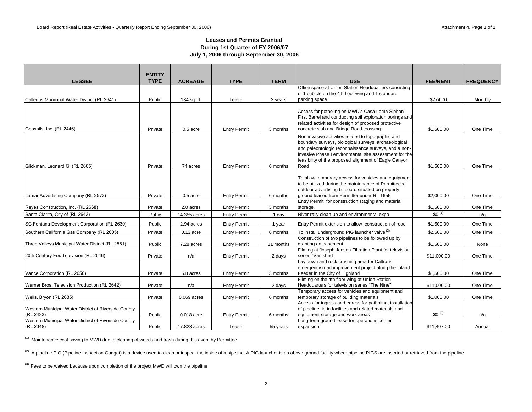#### **Leases and Permits Granted During 1st Quarter of FY 2006/07 July 1, 2006 through September 30, 2006**

|                                                                   | <b>ENTITY</b> |                |                     |             |                                                                                                                                                                                                                                                                                       |                 |                  |
|-------------------------------------------------------------------|---------------|----------------|---------------------|-------------|---------------------------------------------------------------------------------------------------------------------------------------------------------------------------------------------------------------------------------------------------------------------------------------|-----------------|------------------|
| <b>LESSEE</b>                                                     | <b>TYPE</b>   | <b>ACREAGE</b> | <b>TYPE</b>         | <b>TERM</b> | <b>USE</b>                                                                                                                                                                                                                                                                            | <b>FEE/RENT</b> | <b>FREQUENCY</b> |
|                                                                   |               |                |                     |             | Office space at Union Station Headquarters consisting                                                                                                                                                                                                                                 |                 |                  |
| Callegus Municipal Water District (RL 2641)                       | Public        | 134 sq. ft.    | Lease               | 3 years     | of 1 cubicle on the 4th floor wing and 1 standard<br>parking space                                                                                                                                                                                                                    | \$274.70        | Monthly          |
|                                                                   |               |                |                     |             |                                                                                                                                                                                                                                                                                       |                 |                  |
| Geosoils, Inc. (RL 2446)                                          | Private       | $0.5$ acre     | <b>Entry Permit</b> | 3 months    | Access for potholing on MWD's Casa Loma Siphon<br>First Barrel and conducting soil exploration borings and<br>related activities for design of proposed protective<br>concrete slab and Bridge Road crossing.                                                                         | \$1,500.00      | One Time         |
|                                                                   |               |                |                     |             | Non-invasive activities related to topographic and<br>boundary surveys, biological surveys, archaeological<br>and paleontologic reconnaissance surveys, and a non-<br>invasive Phase I environmental site assessment for the<br>feasibility of the proposed alignment of Eagle Canyon |                 |                  |
| Glickman, Leonard G. (RL 2605)                                    | Private       | 74 acres       | <b>Entry Permit</b> | 6 months    | Road                                                                                                                                                                                                                                                                                  | \$1,500.00      | One Time         |
| Lamar Advertising Company (RL 2572)                               | Private       | $0.5$ acre     | <b>Entry Permit</b> | 6 months    | To allow temporary access for vehicles and equipment<br>to be utilized during the maintenance of Permittee's<br>outdoor advertising billboard situated on property<br>ground leased from Permitter under RL 1655                                                                      | \$2,000.00      | One Time         |
| Reyes Construction, Inc. (RL 2668)                                | Private       | 2.0 acres      | <b>Entry Permit</b> | 3 months    | Entry Permit for construction staging and material<br>storage.                                                                                                                                                                                                                        | \$1,500.00      | One Time         |
| Santa Clarita, City of (RL 2643)                                  | Pubic         | 14.355 acres   | <b>Entry Permit</b> | 1 day       | River rally clean-up and environmental expo                                                                                                                                                                                                                                           | $$0^{(1)}$$     | n/a              |
| SC Fontana Development Corporation (RL 2630)                      | Public        | 2.94 acres     | <b>Entry Permit</b> | 1 year      | Entry Permit extension to allow construction of road                                                                                                                                                                                                                                  | \$1,500.00      | One Time         |
| Southern California Gas Company (RL 2605)                         | Private       | $0.13$ acre    | <b>Entry Permit</b> | 6 months    | To install underground PIG launcher valve <sup>(2)</sup>                                                                                                                                                                                                                              | \$2,500.00      | One Time         |
| Three Valleys Municipal Water District (RL 2561)                  | Public        | 7.28 acres     | <b>Entry Permit</b> | 11 months   | Construction of two pipelines to be followed up by<br>granting an easement                                                                                                                                                                                                            | \$1,500.00      | None             |
| 20th Century Fox Television (RL 2646)                             | Private       | n/a            | <b>Entry Permit</b> | 2 days      | Filming at Joseph Jensen Filtration Plant for television<br>series "Vanished"                                                                                                                                                                                                         | \$11,000.00     | One Time         |
| Vance Corporation (RL 2650)                                       | Private       | 5.8 acres      | <b>Entry Permit</b> | 3 months    | Lay down and rock crushing area for Caltrans<br>emergency road improvement project along the Inland<br>Feeder in the City of Highland                                                                                                                                                 | \$1,500.00      | One Time         |
| Warner Bros. Television Production (RL 2642)                      | Private       | n/a            | Entry Permit        | 2 days      | Filming on the 4th floor wing at Union Station<br>Headquarters for television series "The Nine"                                                                                                                                                                                       | \$11,000.00     | One Time         |
| Wells, Bryon (RL 2635)                                            | Private       | $0.069$ acres  | <b>Entry Permit</b> | 6 months    | Temporary access for vehicles and equipment and<br>temporary storage of building materials                                                                                                                                                                                            | \$1,000.00      | One Time         |
| Western Municipal Water District of Riverside County<br>(RL 2433) | Public        | 0.018 acre     | <b>Entry Permit</b> | 6 months    | Access for ingress and egress for potholing, installation<br>of pipeline tie-in facilities and related materials and<br>equipment storage and work areas                                                                                                                              | $$0^{(3)}$$     | n/a              |
| Western Municipal Water District of Riverside County<br>(RL 2348) | Public        | 17.823 acres   | Lease               | 55 years    | Long-term ground lease for operations center<br>expansion                                                                                                                                                                                                                             | \$11,407.00     | Annual           |

(1) Maintenance cost saving to MWD due to clearing of weeds and trash during this event by Permittee

<sup>(2)</sup> A pipeline PIG (Pipeline Inspection Gadget) is a device used to clean or inspect the inside of a pipeline. A PIG launcher is an above ground facility where pipeline PIGS are inserted or retrieved from the pipeline.

<sup>(3)</sup> Fees to be waived because upon completion of the project MWD will own the pipeline